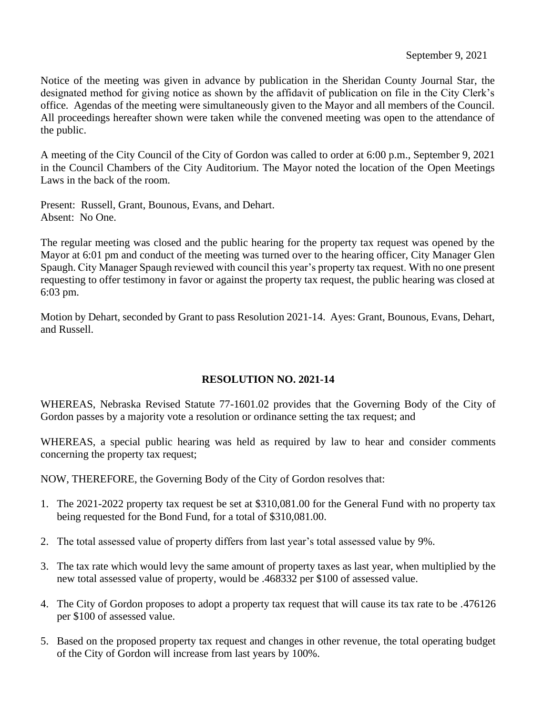Notice of the meeting was given in advance by publication in the Sheridan County Journal Star, the designated method for giving notice as shown by the affidavit of publication on file in the City Clerk's office. Agendas of the meeting were simultaneously given to the Mayor and all members of the Council. All proceedings hereafter shown were taken while the convened meeting was open to the attendance of the public.

A meeting of the City Council of the City of Gordon was called to order at 6:00 p.m., September 9, 2021 in the Council Chambers of the City Auditorium. The Mayor noted the location of the Open Meetings Laws in the back of the room.

Present: Russell, Grant, Bounous, Evans, and Dehart. Absent: No One.

The regular meeting was closed and the public hearing for the property tax request was opened by the Mayor at 6:01 pm and conduct of the meeting was turned over to the hearing officer, City Manager Glen Spaugh. City Manager Spaugh reviewed with council this year's property tax request. With no one present requesting to offer testimony in favor or against the property tax request, the public hearing was closed at 6:03 pm.

Motion by Dehart, seconded by Grant to pass Resolution 2021-14. Ayes: Grant, Bounous, Evans, Dehart, and Russell.

## **RESOLUTION NO. 2021-14**

WHEREAS, Nebraska Revised Statute 77-1601.02 provides that the Governing Body of the City of Gordon passes by a majority vote a resolution or ordinance setting the tax request; and

WHEREAS, a special public hearing was held as required by law to hear and consider comments concerning the property tax request;

NOW, THEREFORE, the Governing Body of the City of Gordon resolves that:

- 1. The 2021-2022 property tax request be set at \$310,081.00 for the General Fund with no property tax being requested for the Bond Fund, for a total of \$310,081.00.
- 2. The total assessed value of property differs from last year's total assessed value by 9%.
- 3. The tax rate which would levy the same amount of property taxes as last year, when multiplied by the new total assessed value of property, would be .468332 per \$100 of assessed value.
- 4. The City of Gordon proposes to adopt a property tax request that will cause its tax rate to be .476126 per \$100 of assessed value.
- 5. Based on the proposed property tax request and changes in other revenue, the total operating budget of the City of Gordon will increase from last years by 100%.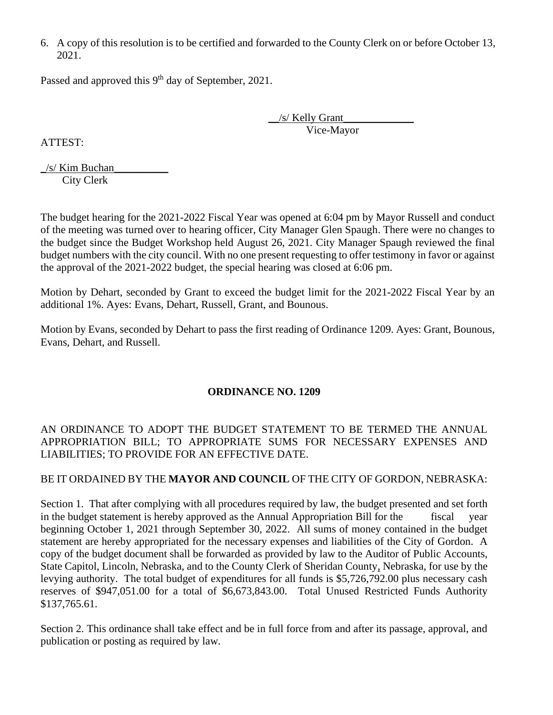6. A copy of this resolution is to be certified and forwarded to the County Clerk on or before October 13, 2021.

Passed and approved this 9<sup>th</sup> day of September, 2021.

\_\_/s/ Kelly Grant\_\_\_\_\_\_\_\_\_\_\_\_\_ Vice-Mayor

ATTEST:

 $\frac{1}{s}$  Kim Buchan City Clerk

The budget hearing for the 2021-2022 Fiscal Year was opened at 6:04 pm by Mayor Russell and conduct of the meeting was turned over to hearing officer, City Manager Glen Spaugh. There were no changes to the budget since the Budget Workshop held August 26, 2021. City Manager Spaugh reviewed the final budget numbers with the city council. With no one present requesting to offer testimony in favor or against the approval of the 2021-2022 budget, the special hearing was closed at 6:06 pm.

Motion by Dehart, seconded by Grant to exceed the budget limit for the 2021-2022 Fiscal Year by an additional 1%. Ayes: Evans, Dehart, Russell, Grant, and Bounous.

Motion by Evans, seconded by Dehart to pass the first reading of Ordinance 1209. Ayes: Grant, Bounous, Evans, Dehart, and Russell.

## **ORDINANCE NO. 1209**

## AN ORDINANCE TO ADOPT THE BUDGET STATEMENT TO BE TERMED THE ANNUAL APPROPRIATION BILL; TO APPROPRIATE SUMS FOR NECESSARY EXPENSES AND LIABILITIES; TO PROVIDE FOR AN EFFECTIVE DATE.

## BE IT ORDAINED BY THE **MAYOR AND COUNCIL** OF THE CITY OF GORDON, NEBRASKA:

Section 1. That after complying with all procedures required by law, the budget presented and set forth in the budget statement is hereby approved as the Annual Appropriation Bill for the fiscal year beginning October 1, 2021 through September 30, 2022. All sums of money contained in the budget statement are hereby appropriated for the necessary expenses and liabilities of the City of Gordon. A copy of the budget document shall be forwarded as provided by law to the Auditor of Public Accounts, State Capitol, Lincoln, Nebraska, and to the County Clerk of Sheridan County, Nebraska, for use by the levying authority. The total budget of expenditures for all funds is \$5,726,792.00 plus necessary cash reserves of \$947,051.00 for a total of \$6,673,843.00. Total Unused Restricted Funds Authority \$137,765.61.

Section 2. This ordinance shall take effect and be in full force from and after its passage, approval, and publication or posting as required by law.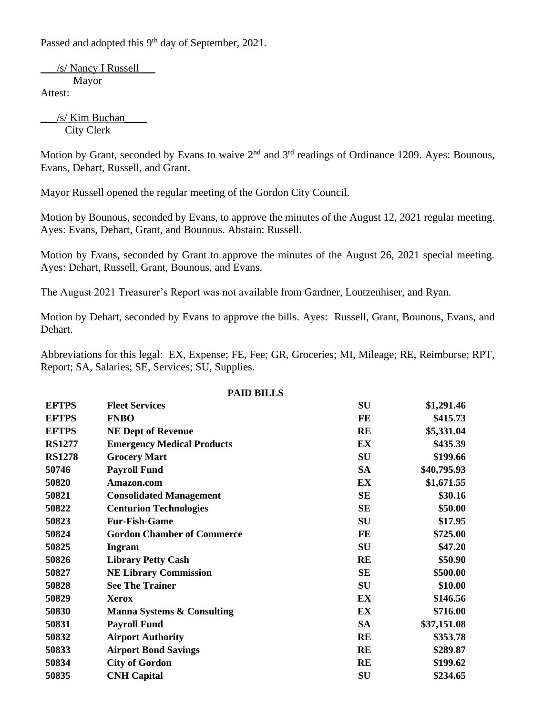Passed and adopted this 9<sup>th</sup> day of September, 2021.

\_\_\_/s/ Nancy I Russell\_\_\_ Mayor Attest:

\_\_\_/s/ Kim Buchan\_\_\_\_ City Clerk

Motion by Grant, seconded by Evans to waive 2<sup>nd</sup> and 3<sup>rd</sup> readings of Ordinance 1209. Ayes: Bounous. Evans, Dehart, Russell, and Grant.

Mayor Russell opened the regular meeting of the Gordon City Council.

Motion by Bounous, seconded by Evans, to approve the minutes of the August 12, 2021 regular meeting. Ayes: Evans, Dehart, Grant, and Bounous. Abstain: Russell.

Motion by Evans, seconded by Grant to approve the minutes of the August 26, 2021 special meeting. Ayes: Dehart, Russell, Grant, Bounous, and Evans.

The August 2021 Treasurer's Report was not available from Gardner, Loutzenhiser, and Ryan.

Motion by Dehart, seconded by Evans to approve the bills. Ayes: Russell, Grant, Bounous, Evans, and Dehart.

Abbreviations for this legal: EX, Expense; FE, Fee; GR, Groceries; MI, Mileage; RE, Reimburse; RPT, Report; SA, Salaries; SE, Services; SU, Supplies.

| <b>PAID BILLS</b> |                                       |           |             |  |
|-------------------|---------------------------------------|-----------|-------------|--|
| <b>EFTPS</b>      | <b>Fleet Services</b>                 | SU        | \$1,291.46  |  |
| <b>EFTPS</b>      | <b>FNBO</b>                           | FE        | \$415.73    |  |
| <b>EFTPS</b>      | <b>NE Dept of Revenue</b>             | <b>RE</b> | \$5,331.04  |  |
| <b>RS1277</b>     | <b>Emergency Medical Products</b>     | EX        | \$435.39    |  |
| <b>RS1278</b>     | <b>Grocery Mart</b>                   | SU        | \$199.66    |  |
| 50746             | <b>Payroll Fund</b>                   | <b>SA</b> | \$40,795.93 |  |
| 50820             | Amazon.com                            | EX        | \$1,671.55  |  |
| 50821             | <b>Consolidated Management</b>        | <b>SE</b> | \$30.16     |  |
| 50822             | <b>Centurion Technologies</b>         | <b>SE</b> | \$50.00     |  |
| 50823             | <b>Fur-Fish-Game</b>                  | SU        | \$17.95     |  |
| 50824             | <b>Gordon Chamber of Commerce</b>     | FE        | \$725.00    |  |
| 50825             | <b>Ingram</b>                         | SU        | \$47.20     |  |
| 50826             | <b>Library Petty Cash</b>             | <b>RE</b> | \$50.90     |  |
| 50827             | <b>NE Library Commission</b>          | <b>SE</b> | \$500.00    |  |
| 50828             | <b>See The Trainer</b>                | <b>SU</b> | \$10.00     |  |
| 50829             | <b>Xerox</b>                          | EX        | \$146.56    |  |
| 50830             | <b>Manna Systems &amp; Consulting</b> | EX        | \$716.00    |  |
| 50831             | <b>Payroll Fund</b>                   | <b>SA</b> | \$37,151.08 |  |
| 50832             | <b>Airport Authority</b>              | <b>RE</b> | \$353.78    |  |
| 50833             | <b>Airport Bond Savings</b>           | <b>RE</b> | \$289.87    |  |
| 50834             | <b>City of Gordon</b>                 | <b>RE</b> | \$199.62    |  |
| 50835             | <b>CNH Capital</b>                    | SU        | \$234.65    |  |
|                   |                                       |           |             |  |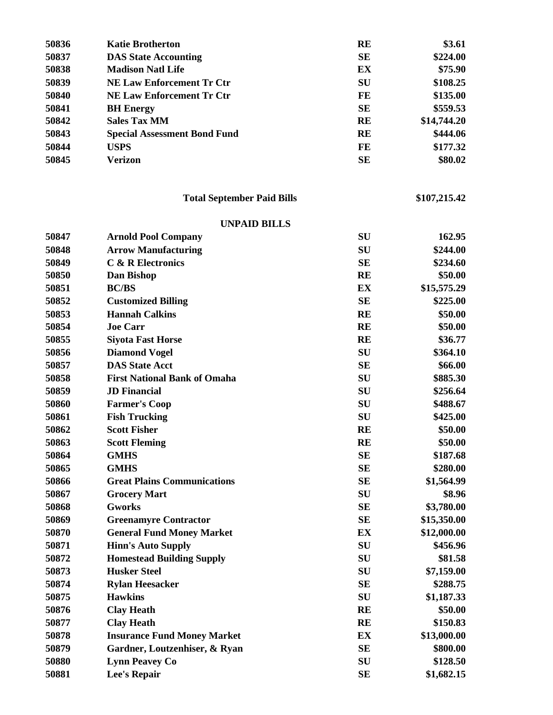| 50836 | <b>Katie Brotherton</b>             | <b>RE</b>  | \$3.61       |
|-------|-------------------------------------|------------|--------------|
| 50837 | <b>DAS State Accounting</b>         | <b>SE</b>  | \$224.00     |
| 50838 | <b>Madison Natl Life</b>            | EX         | \$75.90      |
| 50839 | <b>NE Law Enforcement Tr Ctr</b>    | SU         | \$108.25     |
| 50840 | <b>NE Law Enforcement Tr Ctr</b>    | FE         | \$135.00     |
| 50841 | <b>BH</b> Energy                    | <b>SE</b>  | \$559.53     |
| 50842 | <b>Sales Tax MM</b>                 | <b>RE</b>  | \$14,744.20  |
| 50843 | <b>Special Assessment Bond Fund</b> | RE         | \$444.06     |
| 50844 | <b>USPS</b>                         | FE         | \$177.32     |
| 50845 | <b>Verizon</b>                      | <b>SE</b>  | \$80.02      |
|       | <b>Total September Paid Bills</b>   |            | \$107,215.42 |
|       | <b>UNPAID BILLS</b>                 |            |              |
| 50847 | <b>Arnold Pool Company</b>          | ${\bf SU}$ | 162.95       |
| 50848 | <b>Arrow Manufacturing</b>          | SU         | \$244.00     |
| 50849 | <b>C &amp; R Electronics</b>        | <b>SE</b>  | \$234.60     |
| 50850 | Dan Bishop                          | <b>RE</b>  | \$50.00      |
| 50851 | <b>BC/BS</b>                        | EX         | \$15,575.29  |
| 50852 | <b>Customized Billing</b>           | <b>SE</b>  | \$225.00     |
| 50853 | <b>Hannah Calkins</b>               | <b>RE</b>  | \$50.00      |
| 50854 | <b>Joe Carr</b>                     | <b>RE</b>  | \$50.00      |
| 50855 | <b>Siyota Fast Horse</b>            | <b>RE</b>  | \$36.77      |
| 50856 | <b>Diamond Vogel</b>                | SU         | \$364.10     |
| 50857 | <b>DAS State Acct</b>               | <b>SE</b>  | \$66.00      |
| 50858 | <b>First National Bank of Omaha</b> | SU         | \$885.30     |
| 50859 | <b>JD</b> Financial                 | SU         | \$256.64     |
| 50860 | <b>Farmer's Coop</b>                | SU         | \$488.67     |
| 50861 | <b>Fish Trucking</b>                | SU         | \$425.00     |
| 50862 | <b>Scott Fisher</b>                 | <b>RE</b>  | \$50.00      |
| 50863 | <b>Scott Fleming</b>                | <b>RE</b>  | \$50.00      |
| 50864 | <b>GMHS</b>                         | <b>SE</b>  | \$187.68     |
| 50865 | <b>GMHS</b>                         | SE         | \$280.00     |
| 50866 | <b>Great Plains Communications</b>  | <b>SE</b>  | \$1,564.99   |
| 50867 | <b>Grocery Mart</b>                 | SU         | \$8.96       |
| 50868 | <b>Gworks</b>                       | <b>SE</b>  | \$3,780.00   |
| 50869 | <b>Greenamyre Contractor</b>        | <b>SE</b>  | \$15,350.00  |
| 50870 | <b>General Fund Money Market</b>    | EX         | \$12,000.00  |
| 50871 | <b>Hinn's Auto Supply</b>           | <b>SU</b>  | \$456.96     |
| 50872 | <b>Homestead Building Supply</b>    | SU         | \$81.58      |
| 50873 | <b>Husker Steel</b>                 | SU         | \$7,159.00   |
| 50874 | <b>Rylan Heesacker</b>              | <b>SE</b>  | \$288.75     |
| 50875 | <b>Hawkins</b>                      | SU         | \$1,187.33   |
| 50876 | <b>Clay Heath</b>                   | <b>RE</b>  | \$50.00      |
| 50877 | <b>Clay Heath</b>                   | <b>RE</b>  | \$150.83     |
| 50878 | <b>Insurance Fund Money Market</b>  | EX         | \$13,000.00  |
| 50879 | Gardner, Loutzenhiser, & Ryan       | <b>SE</b>  | \$800.00     |
| 50880 | <b>Lynn Peavey Co</b>               | SU         | \$128.50     |
| 50881 | <b>Lee's Repair</b>                 | <b>SE</b>  | \$1,682.15   |
|       |                                     |            |              |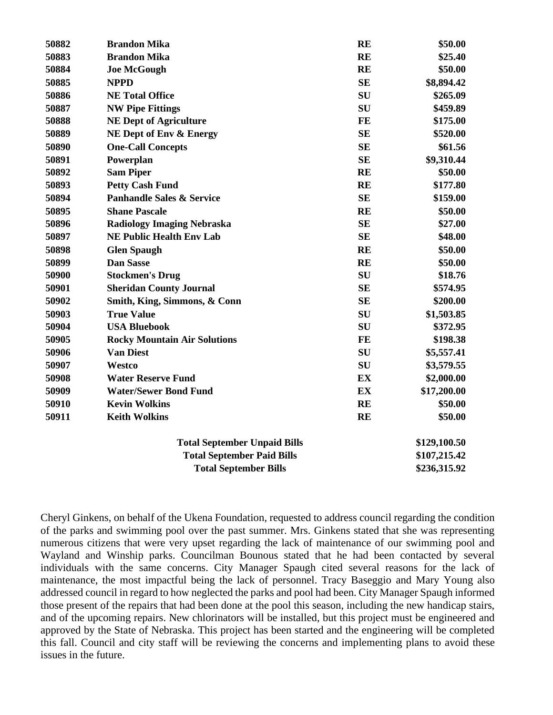| 50882 | <b>Brandon Mika</b>                  | <b>RE</b> | \$50.00      |
|-------|--------------------------------------|-----------|--------------|
| 50883 | <b>Brandon Mika</b>                  | <b>RE</b> | \$25.40      |
| 50884 | <b>Joe McGough</b>                   | <b>RE</b> | \$50.00      |
| 50885 | <b>NPPD</b>                          | <b>SE</b> | \$8,894.42   |
| 50886 | <b>NE Total Office</b>               | SU        | \$265.09     |
| 50887 | <b>NW Pipe Fittings</b>              | <b>SU</b> | \$459.89     |
| 50888 | <b>NE Dept of Agriculture</b>        | <b>FE</b> | \$175.00     |
| 50889 | <b>NE Dept of Env &amp; Energy</b>   | <b>SE</b> | \$520.00     |
| 50890 | <b>One-Call Concepts</b>             | <b>SE</b> | \$61.56      |
| 50891 | Powerplan                            | <b>SE</b> | \$9,310.44   |
| 50892 | <b>Sam Piper</b>                     | <b>RE</b> | \$50.00      |
| 50893 | <b>Petty Cash Fund</b>               | <b>RE</b> | \$177.80     |
| 50894 | <b>Panhandle Sales &amp; Service</b> | <b>SE</b> | \$159.00     |
| 50895 | <b>Shane Pascale</b>                 | <b>RE</b> | \$50.00      |
| 50896 | <b>Radiology Imaging Nebraska</b>    | <b>SE</b> | \$27.00      |
| 50897 | <b>NE Public Health Env Lab</b>      | <b>SE</b> | \$48.00      |
| 50898 | <b>Glen Spaugh</b>                   | <b>RE</b> | \$50.00      |
| 50899 | <b>Dan Sasse</b>                     | <b>RE</b> | \$50.00      |
| 50900 | <b>Stockmen's Drug</b>               | SU        | \$18.76      |
| 50901 | <b>Sheridan County Journal</b>       | <b>SE</b> | \$574.95     |
| 50902 | Smith, King, Simmons, & Conn         | <b>SE</b> | \$200.00     |
| 50903 | <b>True Value</b>                    | SU        | \$1,503.85   |
| 50904 | <b>USA Bluebook</b>                  | SU        | \$372.95     |
| 50905 | <b>Rocky Mountain Air Solutions</b>  | FE        | \$198.38     |
| 50906 | <b>Van Diest</b>                     | SU        | \$5,557.41   |
| 50907 | Westco                               | SU        | \$3,579.55   |
| 50908 | <b>Water Reserve Fund</b>            | EX        | \$2,000.00   |
| 50909 | <b>Water/Sewer Bond Fund</b>         | EX        | \$17,200.00  |
| 50910 | <b>Kevin Wolkins</b>                 | <b>RE</b> | \$50.00      |
| 50911 | <b>Keith Wolkins</b>                 | <b>RE</b> | \$50.00      |
|       | <b>Total September Unpaid Bills</b>  |           | \$129,100.50 |
|       | <b>Total September Paid Bills</b>    |           | \$107,215.42 |
|       | <b>Total September Bills</b>         |           | \$236,315.92 |

Cheryl Ginkens, on behalf of the Ukena Foundation, requested to address council regarding the condition of the parks and swimming pool over the past summer. Mrs. Ginkens stated that she was representing numerous citizens that were very upset regarding the lack of maintenance of our swimming pool and Wayland and Winship parks. Councilman Bounous stated that he had been contacted by several individuals with the same concerns. City Manager Spaugh cited several reasons for the lack of maintenance, the most impactful being the lack of personnel. Tracy Baseggio and Mary Young also addressed council in regard to how neglected the parks and pool had been. City Manager Spaugh informed those present of the repairs that had been done at the pool this season, including the new handicap stairs, and of the upcoming repairs. New chlorinators will be installed, but this project must be engineered and approved by the State of Nebraska. This project has been started and the engineering will be completed this fall. Council and city staff will be reviewing the concerns and implementing plans to avoid these issues in the future.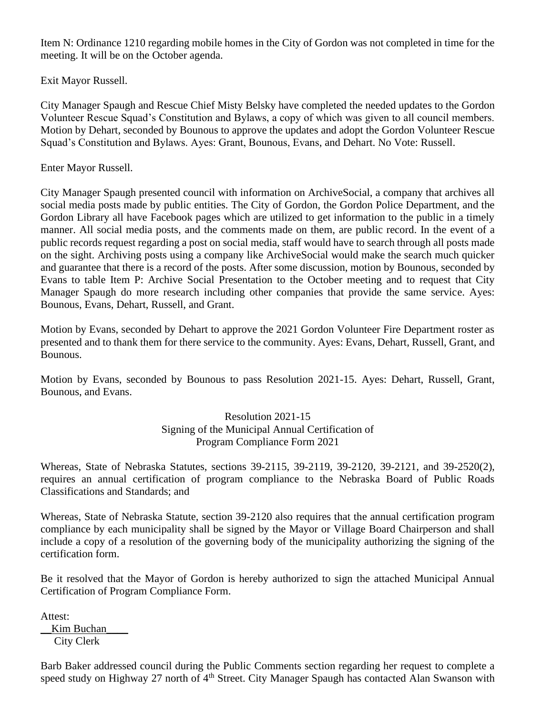Item N: Ordinance 1210 regarding mobile homes in the City of Gordon was not completed in time for the meeting. It will be on the October agenda.

Exit Mayor Russell.

City Manager Spaugh and Rescue Chief Misty Belsky have completed the needed updates to the Gordon Volunteer Rescue Squad's Constitution and Bylaws, a copy of which was given to all council members. Motion by Dehart, seconded by Bounous to approve the updates and adopt the Gordon Volunteer Rescue Squad's Constitution and Bylaws. Ayes: Grant, Bounous, Evans, and Dehart. No Vote: Russell.

Enter Mayor Russell.

City Manager Spaugh presented council with information on ArchiveSocial, a company that archives all social media posts made by public entities. The City of Gordon, the Gordon Police Department, and the Gordon Library all have Facebook pages which are utilized to get information to the public in a timely manner. All social media posts, and the comments made on them, are public record. In the event of a public records request regarding a post on social media, staff would have to search through all posts made on the sight. Archiving posts using a company like ArchiveSocial would make the search much quicker and guarantee that there is a record of the posts. After some discussion, motion by Bounous, seconded by Evans to table Item P: Archive Social Presentation to the October meeting and to request that City Manager Spaugh do more research including other companies that provide the same service. Ayes: Bounous, Evans, Dehart, Russell, and Grant.

Motion by Evans, seconded by Dehart to approve the 2021 Gordon Volunteer Fire Department roster as presented and to thank them for there service to the community. Ayes: Evans, Dehart, Russell, Grant, and Bounous.

Motion by Evans, seconded by Bounous to pass Resolution 2021-15. Ayes: Dehart, Russell, Grant, Bounous, and Evans.

> Resolution 2021-15 Signing of the Municipal Annual Certification of Program Compliance Form 2021

Whereas, State of Nebraska Statutes, sections 39-2115, 39-2119, 39-2120, 39-2121, and 39-2520(2), requires an annual certification of program compliance to the Nebraska Board of Public Roads Classifications and Standards; and

Whereas, State of Nebraska Statute, section 39-2120 also requires that the annual certification program compliance by each municipality shall be signed by the Mayor or Village Board Chairperson and shall include a copy of a resolution of the governing body of the municipality authorizing the signing of the certification form.

Be it resolved that the Mayor of Gordon is hereby authorized to sign the attached Municipal Annual Certification of Program Compliance Form.

Attest:

Kim Buchan City Clerk

Barb Baker addressed council during the Public Comments section regarding her request to complete a speed study on Highway 27 north of 4<sup>th</sup> Street. City Manager Spaugh has contacted Alan Swanson with